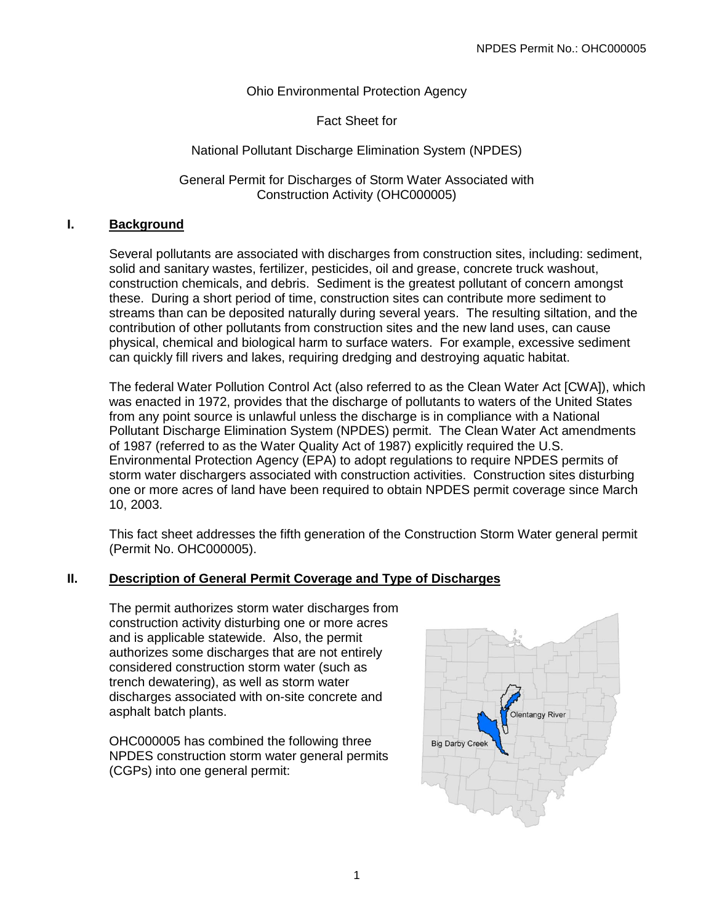## Ohio Environmental Protection Agency

### Fact Sheet for

### National Pollutant Discharge Elimination System (NPDES)

#### General Permit for Discharges of Storm Water Associated with Construction Activity (OHC000005)

### **I. Background**

Several pollutants are associated with discharges from construction sites, including: sediment, solid and sanitary wastes, fertilizer, pesticides, oil and grease, concrete truck washout, construction chemicals, and debris. Sediment is the greatest pollutant of concern amongst these. During a short period of time, construction sites can contribute more sediment to streams than can be deposited naturally during several years. The resulting siltation, and the contribution of other pollutants from construction sites and the new land uses, can cause physical, chemical and biological harm to surface waters. For example, excessive sediment can quickly fill rivers and lakes, requiring dredging and destroying aquatic habitat.

The federal Water Pollution Control Act (also referred to as the Clean Water Act [CWA]), which was enacted in 1972, provides that the discharge of pollutants to waters of the United States from any point source is unlawful unless the discharge is in compliance with a National Pollutant Discharge Elimination System (NPDES) permit. The Clean Water Act amendments of 1987 (referred to as the Water Quality Act of 1987) explicitly required the U.S. Environmental Protection Agency (EPA) to adopt regulations to require NPDES permits of storm water dischargers associated with construction activities. Construction sites disturbing one or more acres of land have been required to obtain NPDES permit coverage since March 10, 2003.

This fact sheet addresses the fifth generation of the Construction Storm Water general permit (Permit No. OHC000005).

### **II. Description of General Permit Coverage and Type of Discharges**

The permit authorizes storm water discharges from construction activity disturbing one or more acres and is applicable statewide. Also, the permit authorizes some discharges that are not entirely considered construction storm water (such as trench dewatering), as well as storm water discharges associated with on-site concrete and asphalt batch plants.

OHC000005 has combined the following three NPDES construction storm water general permits (CGPs) into one general permit:

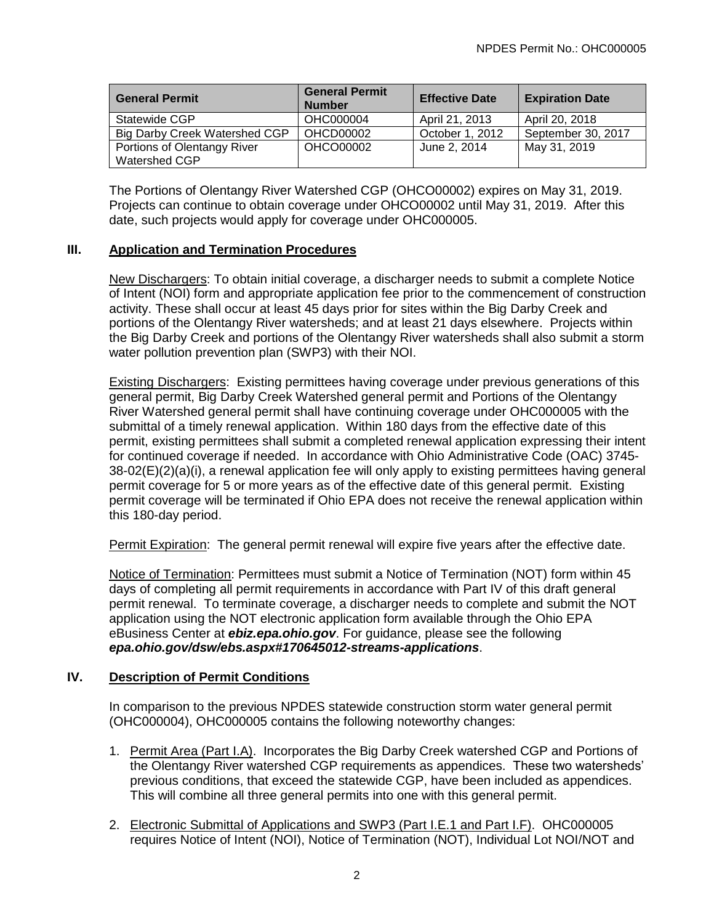| <b>General Permit</b>         | <b>General Permit</b><br><b>Number</b> | <b>Effective Date</b> | <b>Expiration Date</b> |
|-------------------------------|----------------------------------------|-----------------------|------------------------|
| Statewide CGP                 | OHC000004                              | April 21, 2013        | April 20, 2018         |
| Big Darby Creek Watershed CGP | OHCD00002                              | October 1, 2012       | September 30, 2017     |
| Portions of Olentangy River   | OHCO00002                              | June 2, 2014          | May 31, 2019           |
| <b>Watershed CGP</b>          |                                        |                       |                        |

The Portions of Olentangy River Watershed CGP (OHCO00002) expires on May 31, 2019. Projects can continue to obtain coverage under OHCO00002 until May 31, 2019. After this date, such projects would apply for coverage under OHC000005.

### **III. Application and Termination Procedures**

New Dischargers: To obtain initial coverage, a discharger needs to submit a complete Notice of Intent (NOI) form and appropriate application fee prior to the commencement of construction activity. These shall occur at least 45 days prior for sites within the Big Darby Creek and portions of the Olentangy River watersheds; and at least 21 days elsewhere. Projects within the Big Darby Creek and portions of the Olentangy River watersheds shall also submit a storm water pollution prevention plan (SWP3) with their NOI.

Existing Dischargers: Existing permittees having coverage under previous generations of this general permit, Big Darby Creek Watershed general permit and Portions of the Olentangy River Watershed general permit shall have continuing coverage under OHC000005 with the submittal of a timely renewal application. Within 180 days from the effective date of this permit, existing permittees shall submit a completed renewal application expressing their intent for continued coverage if needed. In accordance with Ohio Administrative Code (OAC) 3745- 38-02(E)(2)(a)(i), a renewal application fee will only apply to existing permittees having general permit coverage for 5 or more years as of the effective date of this general permit. Existing permit coverage will be terminated if Ohio EPA does not receive the renewal application within this 180-day period.

Permit Expiration: The general permit renewal will expire five years after the effective date.

Notice of Termination: Permittees must submit a Notice of Termination (NOT) form within 45 days of completing all permit requirements in accordance with Part IV of this draft general permit renewal. To terminate coverage, a discharger needs to complete and submit the NOT application using the NOT electronic application form available through the Ohio EPA eBusiness Center at *ebiz.epa.ohio.gov*. For guidance, please see the following *epa.ohio.gov/dsw/ebs.aspx#170645012-streams-applications*.

# **IV. Description of Permit Conditions**

In comparison to the previous NPDES statewide construction storm water general permit (OHC000004), OHC000005 contains the following noteworthy changes:

- 1. Permit Area (Part I.A). Incorporates the Big Darby Creek watershed CGP and Portions of the Olentangy River watershed CGP requirements as appendices. These two watersheds' previous conditions, that exceed the statewide CGP, have been included as appendices. This will combine all three general permits into one with this general permit.
- 2. Electronic Submittal of Applications and SWP3 (Part I.E.1 and Part I.F). OHC000005 requires Notice of Intent (NOI), Notice of Termination (NOT), Individual Lot NOI/NOT and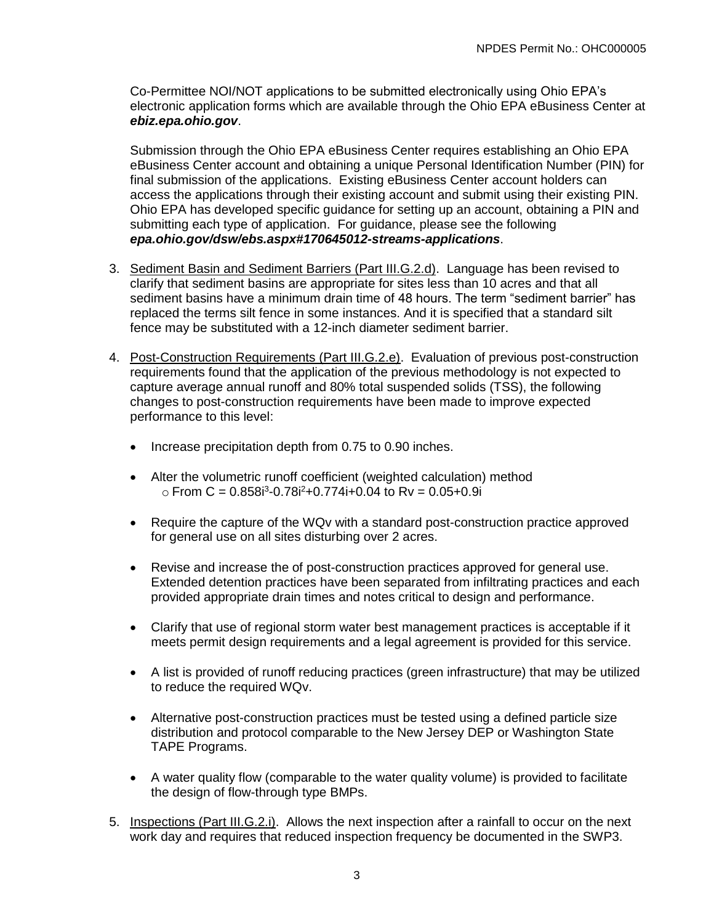Co-Permittee NOI/NOT applications to be submitted electronically using Ohio EPA's electronic application forms which are available through the Ohio EPA eBusiness Center at *ebiz.epa.ohio.gov*.

Submission through the Ohio EPA eBusiness Center requires establishing an Ohio EPA eBusiness Center account and obtaining a unique Personal Identification Number (PIN) for final submission of the applications. Existing eBusiness Center account holders can access the applications through their existing account and submit using their existing PIN. Ohio EPA has developed specific guidance for setting up an account, obtaining a PIN and submitting each type of application. For guidance, please see the following *epa.ohio.gov/dsw/ebs.aspx#170645012-streams-applications*.

- 3. Sediment Basin and Sediment Barriers (Part III.G.2.d). Language has been revised to clarify that sediment basins are appropriate for sites less than 10 acres and that all sediment basins have a minimum drain time of 48 hours. The term "sediment barrier" has replaced the terms silt fence in some instances. And it is specified that a standard silt fence may be substituted with a 12-inch diameter sediment barrier.
- 4. Post-Construction Requirements (Part III.G.2.e). Evaluation of previous post-construction requirements found that the application of the previous methodology is not expected to capture average annual runoff and 80% total suspended solids (TSS), the following changes to post-construction requirements have been made to improve expected performance to this level:
	- Increase precipitation depth from 0.75 to 0.90 inches.
	- Alter the volumetric runoff coefficient (weighted calculation) method  $\circ$  From C = 0.858 $i^3$ -0.78 $i^2$ +0.774 $i$ +0.04 to Rv = 0.05+0.9 $i$
	- Require the capture of the WQv with a standard post-construction practice approved for general use on all sites disturbing over 2 acres.
	- Revise and increase the of post-construction practices approved for general use. Extended detention practices have been separated from infiltrating practices and each provided appropriate drain times and notes critical to design and performance.
	- Clarify that use of regional storm water best management practices is acceptable if it meets permit design requirements and a legal agreement is provided for this service.
	- A list is provided of runoff reducing practices (green infrastructure) that may be utilized to reduce the required WQv.
	- Alternative post-construction practices must be tested using a defined particle size distribution and protocol comparable to the New Jersey DEP or Washington State TAPE Programs.
	- A water quality flow (comparable to the water quality volume) is provided to facilitate the design of flow-through type BMPs.
- 5. Inspections (Part III.G.2.i). Allows the next inspection after a rainfall to occur on the next work day and requires that reduced inspection frequency be documented in the SWP3.